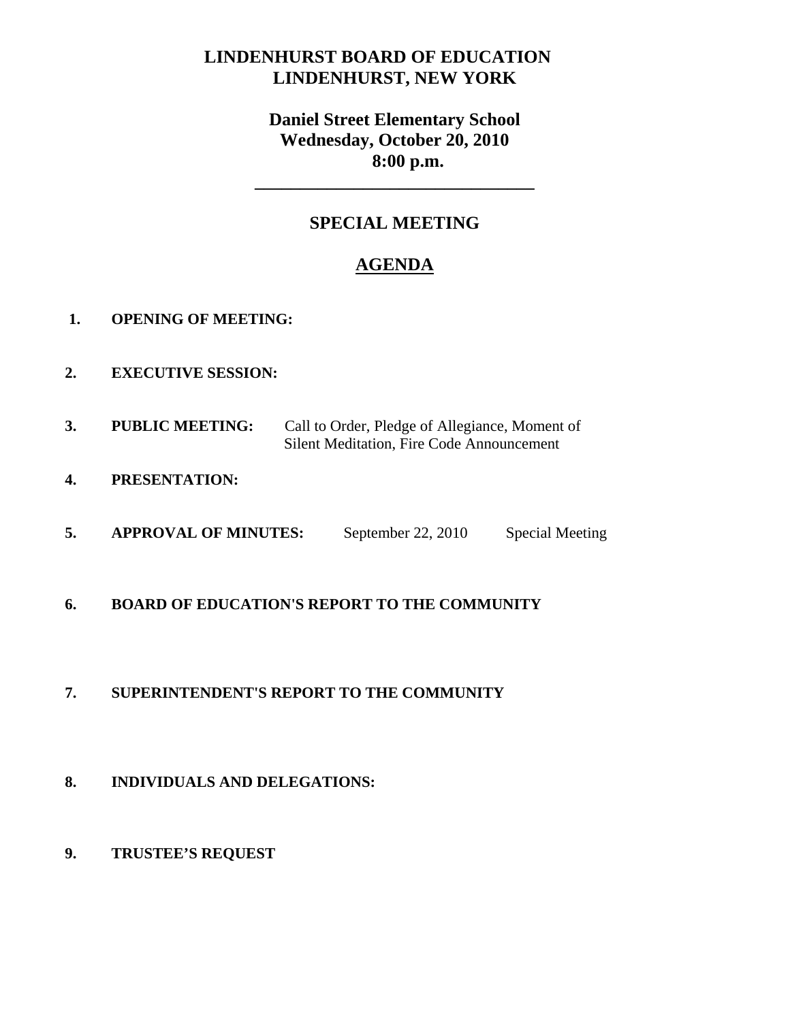# **LINDENHURST BOARD OF EDUCATION LINDENHURST, NEW YORK**

# **Daniel Street Elementary School Wednesday, October 20, 2010 8:00 p.m.**

# **SPECIAL MEETING**

**\_\_\_\_\_\_\_\_\_\_\_\_\_\_\_\_\_\_\_\_\_\_\_\_\_\_\_\_\_\_\_** 

# **AGENDA**

- **1. OPENING OF MEETING:**
- **2. EXECUTIVE SESSION:**
- **3. PUBLIC MEETING:** Call to Order, Pledge of Allegiance, Moment of Silent Meditation, Fire Code Announcement
- **4. PRESENTATION:**
- **5.** APPROVAL OF MINUTES: September 22, 2010 Special Meeting
- **6. BOARD OF EDUCATION'S REPORT TO THE COMMUNITY**

### **7. SUPERINTENDENT'S REPORT TO THE COMMUNITY**

- **8. INDIVIDUALS AND DELEGATIONS:**
- **9. TRUSTEE'S REQUEST**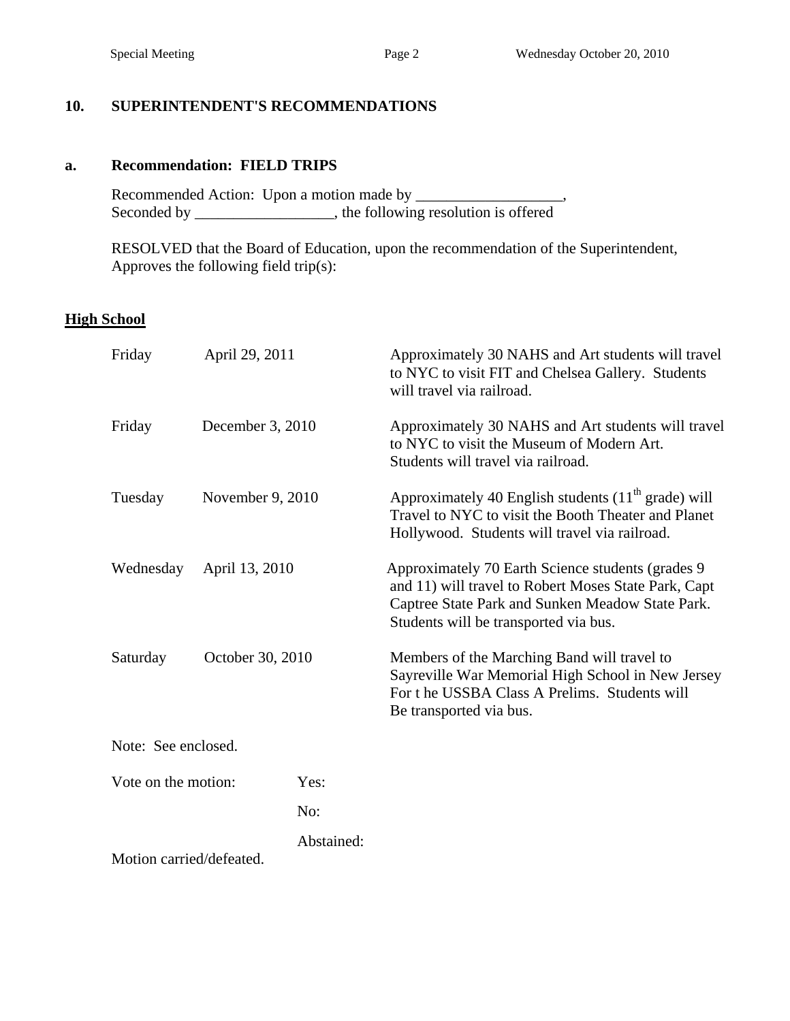### **10. SUPERINTENDENT'S RECOMMENDATIONS**

#### **a. Recommendation: FIELD TRIPS**

 Recommended Action: Upon a motion made by \_\_\_\_\_\_\_\_\_\_\_\_\_\_\_\_\_\_\_, Seconded by \_\_\_\_\_\_\_\_\_\_\_\_\_, the following resolution is offered  $\overline{\phantom{a}}$ ,

 RESOLVED that the Board of Education, upon the recommendation of the Superintendent, Approves the following field trip(s):

#### **High School**

| Friday<br>April 29, 2011    |                  |            | Approximately 30 NAHS and Art students will travel<br>to NYC to visit FIT and Chelsea Gallery. Students<br>will travel via railroad.                                                                    |  |  |
|-----------------------------|------------------|------------|---------------------------------------------------------------------------------------------------------------------------------------------------------------------------------------------------------|--|--|
| Friday                      | December 3, 2010 |            | Approximately 30 NAHS and Art students will travel<br>to NYC to visit the Museum of Modern Art.<br>Students will travel via railroad.                                                                   |  |  |
| November 9, 2010<br>Tuesday |                  |            | Approximately 40 English students $(11th \text{ grade})$ will<br>Travel to NYC to visit the Booth Theater and Planet<br>Hollywood. Students will travel via railroad.                                   |  |  |
| Wednesday                   | April 13, 2010   |            | Approximately 70 Earth Science students (grades 9)<br>and 11) will travel to Robert Moses State Park, Capt<br>Captree State Park and Sunken Meadow State Park.<br>Students will be transported via bus. |  |  |
| Saturday                    | October 30, 2010 |            | Members of the Marching Band will travel to<br>Sayreville War Memorial High School in New Jersey<br>For the USSBA Class A Prelims. Students will<br>Be transported via bus.                             |  |  |
| Note: See enclosed.         |                  |            |                                                                                                                                                                                                         |  |  |
| Vote on the motion:         |                  | Yes:       |                                                                                                                                                                                                         |  |  |
|                             |                  | No:        |                                                                                                                                                                                                         |  |  |
| Motion carried/defeated.    |                  | Abstained: |                                                                                                                                                                                                         |  |  |
|                             |                  |            |                                                                                                                                                                                                         |  |  |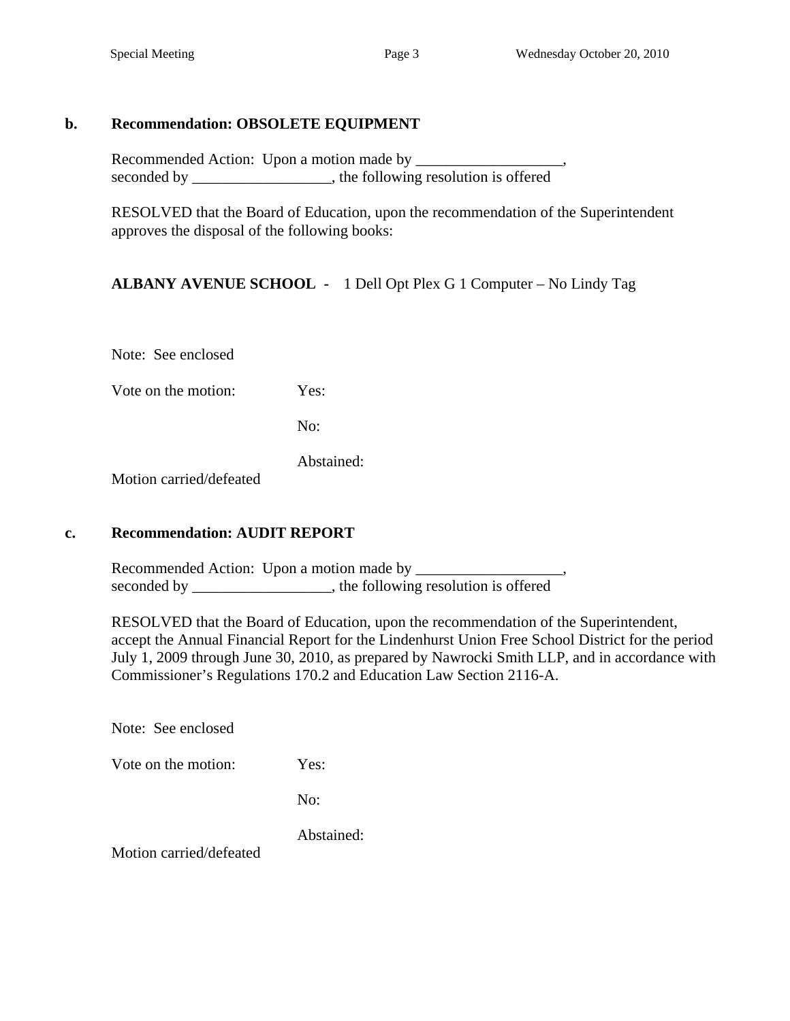#### **b. Recommendation: OBSOLETE EQUIPMENT**

Recommended Action: Upon a motion made by \_\_\_\_\_\_\_\_\_\_\_\_\_\_\_\_\_\_\_, seconded by \_\_\_\_\_\_\_\_\_\_\_\_\_\_\_, the following resolution is offered

 RESOLVED that the Board of Education, upon the recommendation of the Superintendent approves the disposal of the following books:

### **ALBANY AVENUE SCHOOL -** 1 Dell Opt Plex G 1 Computer – No Lindy Tag

Note: See enclosed

Vote on the motion: Yes:

No:

Abstained:

Motion carried/defeated

### **c. Recommendation: AUDIT REPORT**

Recommended Action: Upon a motion made by \_\_\_\_\_\_\_\_\_\_\_\_\_\_\_\_\_\_\_, seconded by \_\_\_\_\_\_\_\_\_\_\_\_\_\_\_\_, the following resolution is offered

 RESOLVED that the Board of Education, upon the recommendation of the Superintendent, accept the Annual Financial Report for the Lindenhurst Union Free School District for the period July 1, 2009 through June 30, 2010, as prepared by Nawrocki Smith LLP, and in accordance with Commissioner's Regulations 170.2 and Education Law Section 2116-A.

Note: See enclosed

Vote on the motion: Yes:

No:

Abstained:

Motion carried/defeated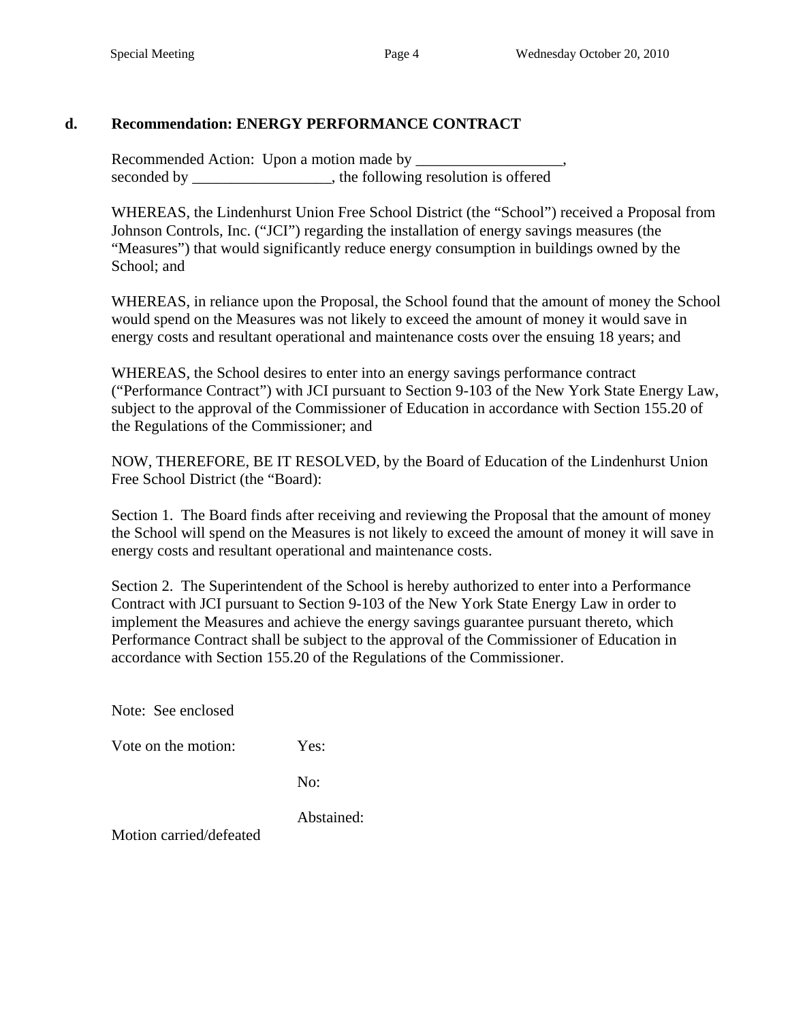### **d. Recommendation: ENERGY PERFORMANCE CONTRACT**

Recommended Action: Upon a motion made by seconded by \_\_\_\_\_\_\_\_\_\_\_\_\_\_\_, the following resolution is offered

 WHEREAS, the Lindenhurst Union Free School District (the "School") received a Proposal from Johnson Controls, Inc. ("JCI") regarding the installation of energy savings measures (the "Measures") that would significantly reduce energy consumption in buildings owned by the School; and

WHEREAS, in reliance upon the Proposal, the School found that the amount of money the School would spend on the Measures was not likely to exceed the amount of money it would save in energy costs and resultant operational and maintenance costs over the ensuing 18 years; and

WHEREAS, the School desires to enter into an energy savings performance contract ("Performance Contract") with JCI pursuant to Section 9-103 of the New York State Energy Law, subject to the approval of the Commissioner of Education in accordance with Section 155.20 of the Regulations of the Commissioner; and

NOW, THEREFORE, BE IT RESOLVED, by the Board of Education of the Lindenhurst Union Free School District (the "Board):

Section 1. The Board finds after receiving and reviewing the Proposal that the amount of money the School will spend on the Measures is not likely to exceed the amount of money it will save in energy costs and resultant operational and maintenance costs.

Section 2. The Superintendent of the School is hereby authorized to enter into a Performance Contract with JCI pursuant to Section 9-103 of the New York State Energy Law in order to implement the Measures and achieve the energy savings guarantee pursuant thereto, which Performance Contract shall be subject to the approval of the Commissioner of Education in accordance with Section 155.20 of the Regulations of the Commissioner.

Note: See enclosed

Vote on the motion: Yes:

No:

Abstained:

Motion carried/defeated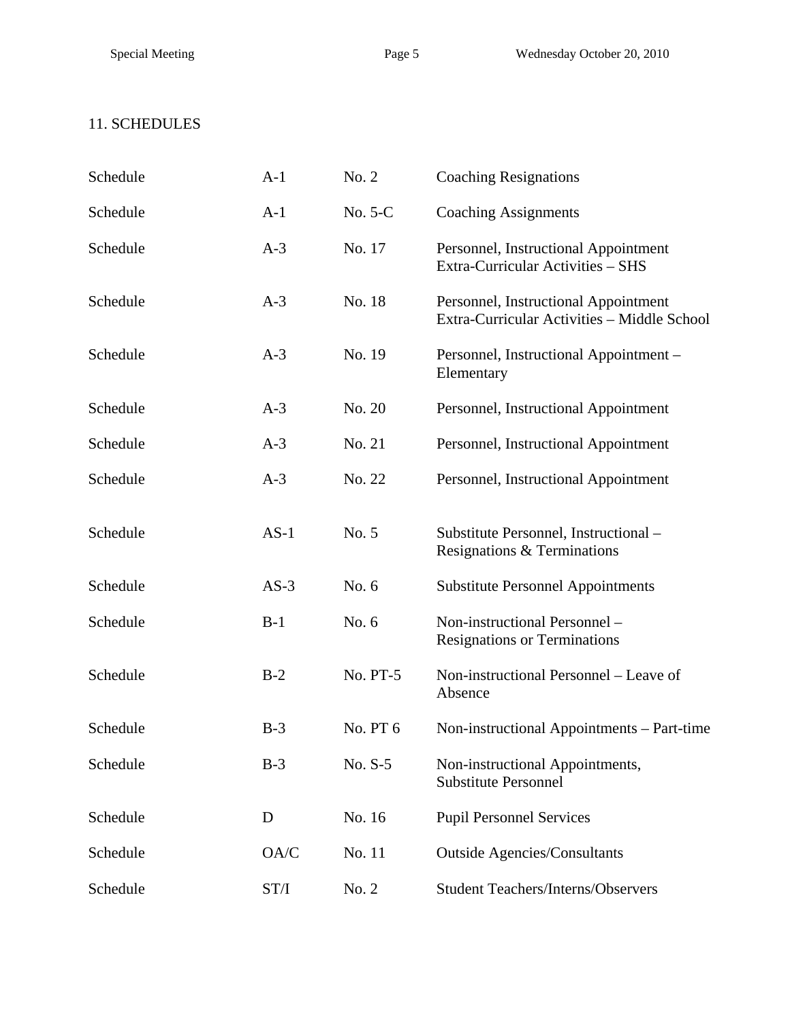## 11. SCHEDULES

| Schedule | $A-1$  | No. 2    | <b>Coaching Resignations</b>                                                        |
|----------|--------|----------|-------------------------------------------------------------------------------------|
| Schedule | $A-1$  | No. 5-C  | <b>Coaching Assignments</b>                                                         |
| Schedule | $A-3$  | No. 17   | Personnel, Instructional Appointment<br>Extra-Curricular Activities - SHS           |
| Schedule | $A-3$  | No. 18   | Personnel, Instructional Appointment<br>Extra-Curricular Activities - Middle School |
| Schedule | $A-3$  | No. 19   | Personnel, Instructional Appointment -<br>Elementary                                |
| Schedule | $A-3$  | No. 20   | Personnel, Instructional Appointment                                                |
| Schedule | $A-3$  | No. 21   | Personnel, Instructional Appointment                                                |
| Schedule | $A-3$  | No. 22   | Personnel, Instructional Appointment                                                |
| Schedule | $AS-1$ | No. 5    | Substitute Personnel, Instructional -<br>Resignations & Terminations                |
| Schedule | $AS-3$ | No. 6    | <b>Substitute Personnel Appointments</b>                                            |
| Schedule | $B-1$  | No. 6    | Non-instructional Personnel -<br><b>Resignations or Terminations</b>                |
| Schedule | $B-2$  | No. PT-5 | Non-instructional Personnel – Leave of<br>Absence                                   |
| Schedule | $B-3$  | No. PT 6 | Non-instructional Appointments – Part-time                                          |
| Schedule | $B-3$  | No. S-5  | Non-instructional Appointments,<br><b>Substitute Personnel</b>                      |
| Schedule | D      | No. 16   | <b>Pupil Personnel Services</b>                                                     |
| Schedule | OA/C   | No. 11   | <b>Outside Agencies/Consultants</b>                                                 |
| Schedule | ST/I   | No. 2    | <b>Student Teachers/Interns/Observers</b>                                           |
|          |        |          |                                                                                     |